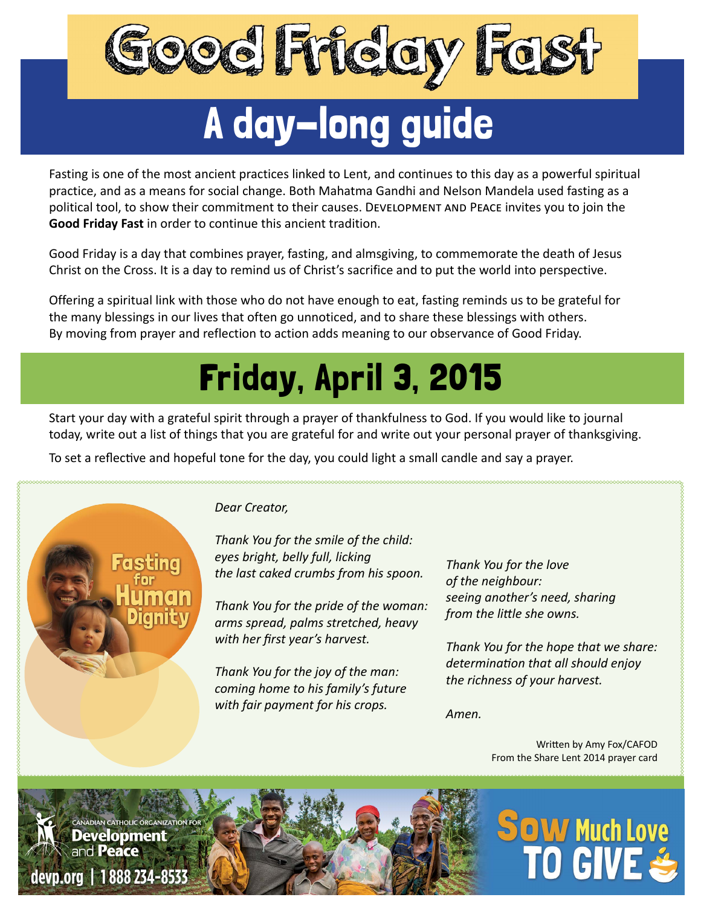

# A day-long guide

Fasting is one of the most ancient practices linked to Lent, and continues to this day as a powerful spiritual practice, and as a means for social change. Both Mahatma Gandhi and Nelson Mandela used fasting as a political tool, to show their commitment to their causes. Development and Peace invites you to join the **Good Friday Fast** in order to continue this ancient tradition.

Good Friday is a day that combines prayer, fasting, and almsgiving, to commemorate the death of Jesus Christ on the Cross. It is a day to remind us of Christ's sacrifice and to put the world into perspective.

Offering a spiritual link with those who do not have enough to eat, fasting reminds us to be grateful for the many blessings in our lives that often go unnoticed, and to share these blessings with others. By moving from prayer and reflection to action adds meaning to our observance of Good Friday.

## Friday, April 3, 2015

Start your day with a grateful spirit through a prayer of thankfulness to God. If you would like to journal today, write out a list of things that you are grateful for and write out your personal prayer of thanksgiving.

To set a reflective and hopeful tone for the day, you could light a small candle and say a prayer.



#### *Dear Creator,*

*Thank You for the smile of the child: eyes bright, belly full, licking the last caked crumbs from his spoon.*

*Thank You for the pride of the woman: arms spread, palms stretched, heavy with her first year's harvest.*

*Thank You for the joy of the man: coming home to his family's future with fair payment for his crops.*

*Thank You for the love of the neighbour: seeing another's need, sharing from the little she owns.*

*Thank You for the hope that we share: determination that all should enjoy the richness of your harvest.*

*Amen.*

Written by Amy Fox/CAFOD From the Share Lent 2014 prayer card

**OW Much Love** 

#### **CANADIAN CATHOLIC ORGANIZATION FOR Development** and Peace